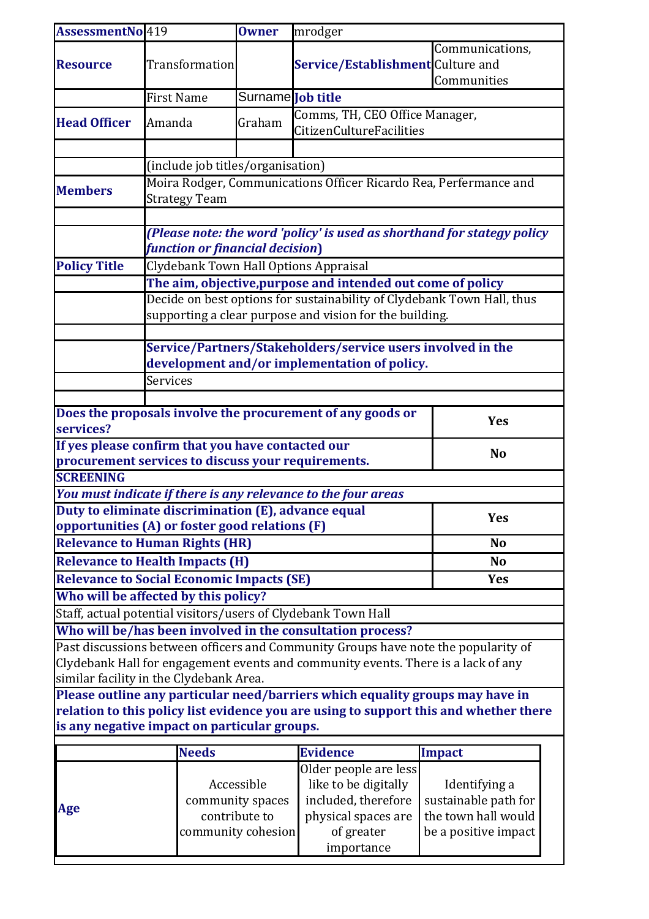| AssessmentNo 419                                                                                                                                                        |                                                                          | <b>Owner</b>                          | mrodger                                                           |                                       |  |  |  |
|-------------------------------------------------------------------------------------------------------------------------------------------------------------------------|--------------------------------------------------------------------------|---------------------------------------|-------------------------------------------------------------------|---------------------------------------|--|--|--|
|                                                                                                                                                                         |                                                                          |                                       |                                                                   | Communications,                       |  |  |  |
| <b>Resource</b>                                                                                                                                                         | Transformation                                                           |                                       | Service/Establishment Culture and                                 |                                       |  |  |  |
|                                                                                                                                                                         |                                                                          |                                       |                                                                   | Communities                           |  |  |  |
|                                                                                                                                                                         | <b>First Name</b>                                                        | Surname <b>Tob title</b>              |                                                                   |                                       |  |  |  |
| <b>Head Officer</b>                                                                                                                                                     | Amanda                                                                   | Graham                                | Comms, TH, CEO Office Manager,<br><b>CitizenCultureFacilities</b> |                                       |  |  |  |
|                                                                                                                                                                         |                                                                          |                                       |                                                                   |                                       |  |  |  |
|                                                                                                                                                                         |                                                                          |                                       |                                                                   |                                       |  |  |  |
|                                                                                                                                                                         | (include job titles/organisation)                                        |                                       |                                                                   |                                       |  |  |  |
| <b>Members</b>                                                                                                                                                          | Moira Rodger, Communications Officer Ricardo Rea, Perfermance and        |                                       |                                                                   |                                       |  |  |  |
|                                                                                                                                                                         | <b>Strategy Team</b>                                                     |                                       |                                                                   |                                       |  |  |  |
|                                                                                                                                                                         |                                                                          |                                       |                                                                   |                                       |  |  |  |
|                                                                                                                                                                         | (Please note: the word 'policy' is used as shorthand for stategy policy  |                                       |                                                                   |                                       |  |  |  |
|                                                                                                                                                                         |                                                                          | function or financial decision)       |                                                                   |                                       |  |  |  |
| <b>Policy Title</b>                                                                                                                                                     |                                                                          | Clydebank Town Hall Options Appraisal |                                                                   |                                       |  |  |  |
|                                                                                                                                                                         | The aim, objective, purpose and intended out come of policy              |                                       |                                                                   |                                       |  |  |  |
|                                                                                                                                                                         | Decide on best options for sustainability of Clydebank Town Hall, thus   |                                       |                                                                   |                                       |  |  |  |
|                                                                                                                                                                         | supporting a clear purpose and vision for the building.                  |                                       |                                                                   |                                       |  |  |  |
|                                                                                                                                                                         |                                                                          |                                       |                                                                   |                                       |  |  |  |
|                                                                                                                                                                         |                                                                          |                                       | Service/Partners/Stakeholders/service users involved in the       |                                       |  |  |  |
|                                                                                                                                                                         | development and/or implementation of policy.                             |                                       |                                                                   |                                       |  |  |  |
|                                                                                                                                                                         | <b>Services</b>                                                          |                                       |                                                                   |                                       |  |  |  |
|                                                                                                                                                                         |                                                                          |                                       |                                                                   |                                       |  |  |  |
|                                                                                                                                                                         | Does the proposals involve the procurement of any goods or<br><b>Yes</b> |                                       |                                                                   |                                       |  |  |  |
| services?                                                                                                                                                               |                                                                          |                                       |                                                                   |                                       |  |  |  |
|                                                                                                                                                                         | If yes please confirm that you have contacted our<br><b>No</b>           |                                       |                                                                   |                                       |  |  |  |
| procurement services to discuss your requirements.<br><b>SCREENING</b>                                                                                                  |                                                                          |                                       |                                                                   |                                       |  |  |  |
|                                                                                                                                                                         |                                                                          |                                       |                                                                   |                                       |  |  |  |
| You must indicate if there is any relevance to the four areas<br>Duty to eliminate discrimination (E), advance equal                                                    |                                                                          |                                       |                                                                   |                                       |  |  |  |
|                                                                                                                                                                         | <b>Yes</b><br>opportunities (A) or foster good relations (F)             |                                       |                                                                   |                                       |  |  |  |
| <b>Relevance to Human Rights (HR)</b><br><b>No</b>                                                                                                                      |                                                                          |                                       |                                                                   |                                       |  |  |  |
| <b>Relevance to Health Impacts (H)</b><br>N <sub>o</sub>                                                                                                                |                                                                          |                                       |                                                                   |                                       |  |  |  |
|                                                                                                                                                                         | <b>Yes</b>                                                               |                                       |                                                                   |                                       |  |  |  |
| <b>Relevance to Social Economic Impacts (SE)</b><br>Who will be affected by this policy?                                                                                |                                                                          |                                       |                                                                   |                                       |  |  |  |
|                                                                                                                                                                         |                                                                          |                                       |                                                                   |                                       |  |  |  |
| Staff, actual potential visitors/users of Clydebank Town Hall                                                                                                           |                                                                          |                                       |                                                                   |                                       |  |  |  |
| Who will be/has been involved in the consultation process?                                                                                                              |                                                                          |                                       |                                                                   |                                       |  |  |  |
| Past discussions between officers and Community Groups have note the popularity of<br>Clydebank Hall for engagement events and community events. There is a lack of any |                                                                          |                                       |                                                                   |                                       |  |  |  |
| similar facility in the Clydebank Area.                                                                                                                                 |                                                                          |                                       |                                                                   |                                       |  |  |  |
|                                                                                                                                                                         |                                                                          |                                       |                                                                   |                                       |  |  |  |
| Please outline any particular need/barriers which equality groups may have in<br>relation to this policy list evidence you are using to support this and whether there  |                                                                          |                                       |                                                                   |                                       |  |  |  |
| is any negative impact on particular groups.                                                                                                                            |                                                                          |                                       |                                                                   |                                       |  |  |  |
|                                                                                                                                                                         |                                                                          |                                       |                                                                   |                                       |  |  |  |
|                                                                                                                                                                         | <b>Needs</b>                                                             |                                       | <b>Evidence</b>                                                   | <b>Impact</b>                         |  |  |  |
|                                                                                                                                                                         |                                                                          | Accessible                            | Older people are less<br>like to be digitally                     |                                       |  |  |  |
|                                                                                                                                                                         |                                                                          |                                       | included, therefore                                               | Identifying a<br>sustainable path for |  |  |  |
| Age                                                                                                                                                                     |                                                                          | community spaces<br>contribute to     | physical spaces are                                               | the town hall would                   |  |  |  |
|                                                                                                                                                                         |                                                                          | community cohesion                    | of greater                                                        | be a positive impact                  |  |  |  |
|                                                                                                                                                                         |                                                                          |                                       | importance                                                        |                                       |  |  |  |
|                                                                                                                                                                         |                                                                          |                                       |                                                                   |                                       |  |  |  |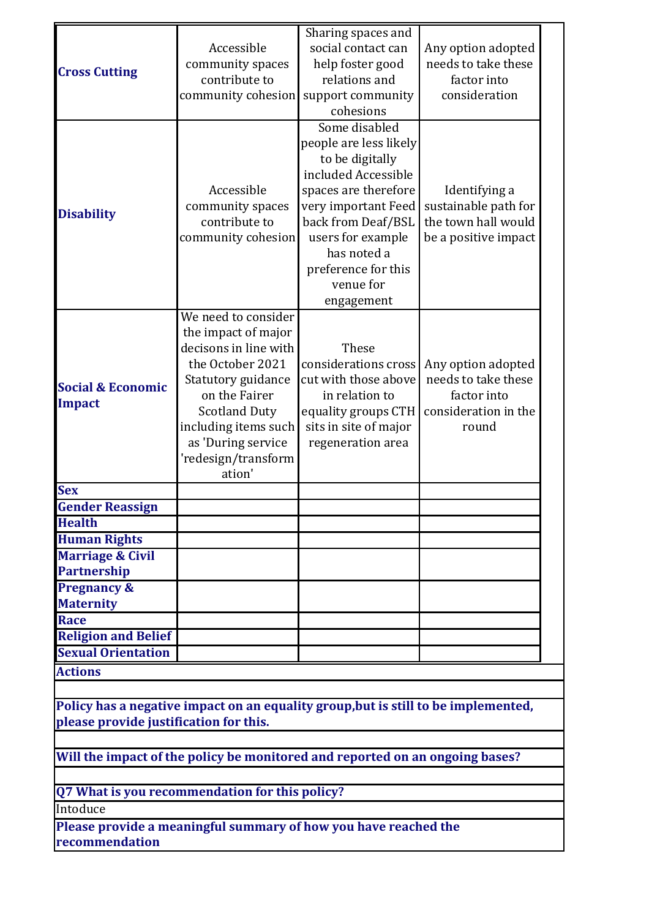|                                        |                                                                                    | Sharing spaces and                     |                                           |
|----------------------------------------|------------------------------------------------------------------------------------|----------------------------------------|-------------------------------------------|
| <b>Cross Cutting</b>                   | Accessible<br>community spaces                                                     | social contact can<br>help foster good | Any option adopted<br>needs to take these |
|                                        | contribute to                                                                      | relations and                          | factor into                               |
|                                        | community cohesion                                                                 | support community<br>cohesions         | consideration                             |
|                                        |                                                                                    | Some disabled                          |                                           |
|                                        |                                                                                    | people are less likely                 |                                           |
|                                        |                                                                                    | to be digitally                        |                                           |
|                                        |                                                                                    | included Accessible                    |                                           |
|                                        | Accessible                                                                         | spaces are therefore                   | Identifying a                             |
|                                        | community spaces                                                                   | very important Feed                    | sustainable path for                      |
| <b>Disability</b>                      | contribute to                                                                      | back from Deaf/BSL                     | the town hall would                       |
|                                        | community cohesion                                                                 | users for example                      | be a positive impact                      |
|                                        |                                                                                    | has noted a                            |                                           |
|                                        |                                                                                    | preference for this                    |                                           |
|                                        |                                                                                    | venue for                              |                                           |
|                                        |                                                                                    | engagement                             |                                           |
|                                        | We need to consider                                                                |                                        |                                           |
|                                        | the impact of major                                                                |                                        |                                           |
|                                        | decisons in line with                                                              | These                                  |                                           |
|                                        | the October 2021                                                                   | considerations cross                   | Any option adopted                        |
| <b>Social &amp; Economic</b>           | Statutory guidance                                                                 | cut with those above                   | needs to take these                       |
| <b>Impact</b>                          | on the Fairer                                                                      | in relation to                         | factor into                               |
|                                        | <b>Scotland Duty</b>                                                               | equality groups CTH                    | consideration in the                      |
|                                        | including items such                                                               | sits in site of major                  | round                                     |
|                                        | as 'During service                                                                 | regeneration area                      |                                           |
|                                        | 'redesign/transform                                                                |                                        |                                           |
|                                        | ation'                                                                             |                                        |                                           |
| <b>Sex</b>                             |                                                                                    |                                        |                                           |
| <b>Gender Reassign</b>                 |                                                                                    |                                        |                                           |
| <b>Health</b>                          |                                                                                    |                                        |                                           |
| <b>Human Rights</b>                    |                                                                                    |                                        |                                           |
| <b>Marriage &amp; Civil</b>            |                                                                                    |                                        |                                           |
| <b>Partnership</b>                     |                                                                                    |                                        |                                           |
| <b>Pregnancy &amp;</b>                 |                                                                                    |                                        |                                           |
| <b>Maternity</b>                       |                                                                                    |                                        |                                           |
| <b>Race</b>                            |                                                                                    |                                        |                                           |
| <b>Religion and Belief</b>             |                                                                                    |                                        |                                           |
| <b>Sexual Orientation</b>              |                                                                                    |                                        |                                           |
| <b>Actions</b>                         |                                                                                    |                                        |                                           |
|                                        |                                                                                    |                                        |                                           |
|                                        | Policy has a negative impact on an equality group, but is still to be implemented, |                                        |                                           |
| please provide justification for this. |                                                                                    |                                        |                                           |
|                                        | Will the impact of the policy be monitored and reported on an ongoing bases?       |                                        |                                           |
|                                        |                                                                                    |                                        |                                           |
|                                        | Q7 What is you recommendation for this policy?                                     |                                        |                                           |
| Intoduce                               |                                                                                    |                                        |                                           |
|                                        | Please provide a meaningful summary of how you have reached the                    |                                        |                                           |
| recommendation                         |                                                                                    |                                        |                                           |